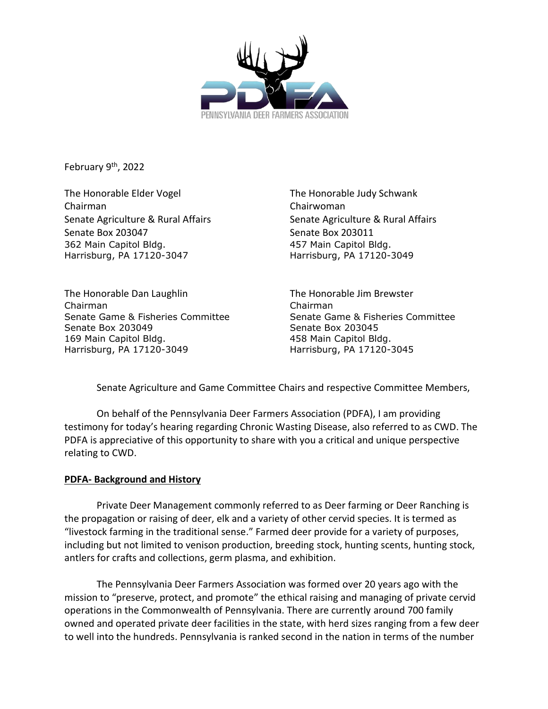

February 9<sup>th</sup>, 2022

The Honorable Elder Vogel The Honorable Judy Schwank Chairman Chairwoman Senate Agriculture & Rural Affairs Senate Agriculture & Rural Affairs Senate Box 203047 Senate Box 203011 362 Main Capitol Bldg. 457 Main Capitol Bldg. Harrisburg, PA 17120-3047 Harrisburg, PA 17120-3049

The Honorable Dan Laughlin The Honorable Jim Brewster Chairman Chairman Senate Game & Fisheries Committee Senate Game & Fisheries Committee Senate Box 203049 Senate Box 203045 169 Main Capitol Bldg. 458 Main Capitol Bldg. Harrisburg, PA 17120-3049 Harrisburg, PA 17120-3045

Senate Agriculture and Game Committee Chairs and respective Committee Members,

On behalf of the Pennsylvania Deer Farmers Association (PDFA), I am providing testimony for today's hearing regarding Chronic Wasting Disease, also referred to as CWD. The PDFA is appreciative of this opportunity to share with you a critical and unique perspective relating to CWD.

# **PDFA- Background and History**

Private Deer Management commonly referred to as Deer farming or Deer Ranching is the propagation or raising of deer, elk and a variety of other cervid species. It is termed as "livestock farming in the traditional sense." Farmed deer provide for a variety of purposes, including but not limited to venison production, breeding stock, hunting scents, hunting stock, antlers for crafts and collections, germ plasma, and exhibition.

The Pennsylvania Deer Farmers Association was formed over 20 years ago with the mission to "preserve, protect, and promote" the ethical raising and managing of private cervid operations in the Commonwealth of Pennsylvania. There are currently around 700 family owned and operated private deer facilities in the state, with herd sizes ranging from a few deer to well into the hundreds. Pennsylvania is ranked second in the nation in terms of the number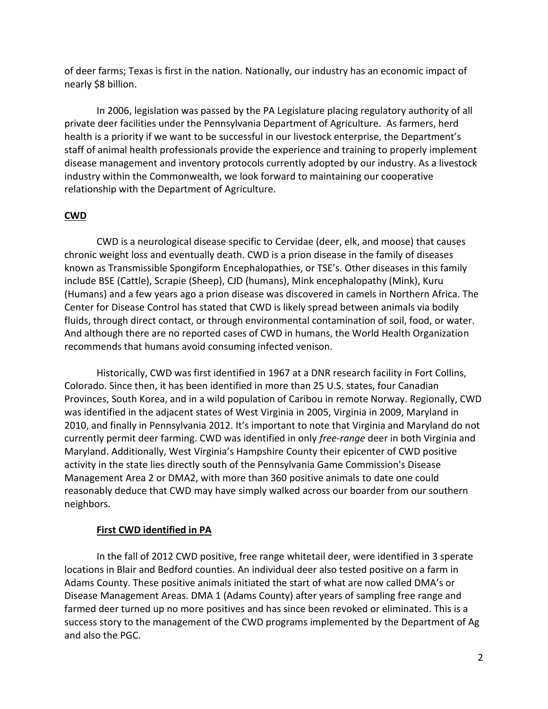of deer farms; Texas is first in the nation. Nationally, our industry has an economic impact of nearly \$8 billion.

In 2006, legislation was passed by the PA Legislature placing regulatory authority of all private deer facilities under the Pennsylvania Department of Agriculture. As farmers, herd health is a priority if we want to be successful in our livestock enterprise, the Department's staff of animal health professionals provide the experience and training to properly implement disease management and inventory protocols currently adopted by our industry. As a livestock industry within the Commonwealth, we look forward to maintaining our cooperative relationship with the Department of Agriculture.

# **CWD**

CWD is a neurological disease specific to Cervidae (deer, elk, and moose) that causes chronic weight loss and eventually death. CWD is a prion disease in the family of diseases known as Transmissible Spongiform Encephalopathies, or TSE's. Other diseases in this family include BSE (Cattle), Scrapie (Sheep), CJD (humans), Mink encephalopathy (Mink), Kuru (Humans) and a few years ago a prion disease was discovered in camels in Northern Africa. The Center for Disease Control has stated that CWD is likely spread between animals via bodily fluids, through direct contact, or through environmental contamination of soil, food, or water. And although there are no reported cases of CWD in humans, the World Health Organization recommends that humans avoid consuming infected venison.

Historically, CWD was first identified in 1967 at a DNR research facility in Fort Collins, Colorado. Since then, it has been identified in more than 25 U.S. states, four Canadian Provinces, South Korea, and in a wild population of Caribou in remote Norway. Regionally, CWD was identified in the adjacent states of West Virginia in 2005, Virginia in 2009, Maryland in 2010, and finally in Pennsylvania 2012. It's important to note that Virginia and Maryland do not currently permit deer farming. CWD was identified in only *free-range* deer in both Virginia and Maryland. Additionally, West Virginia's Hampshire County their epicenter of CWD positive activity in the state lies directly south of the Pennsylvania Game Commission's Disease Management Area 2 or DMA2, with more than 360 positive animals to date one could reasonably deduce that CWD may have simply walked across our boarder from our southern neighbors.

## **First CWD identified in PA**

In the fall of 2012 CWD positive, free range whitetail deer, were identified in 3 sperate locations in Blair and Bedford counties. An individual deer also tested positive on a farm in Adams County. These positive animals initiated the start of what are now called DMA's or Disease Management Areas. DMA 1 (Adams County) after years of sampling free range and farmed deer turned up no more positives and has since been revoked or eliminated. This is a success story to the management of the CWD programs implemented by the Department of Ag and also the PGC.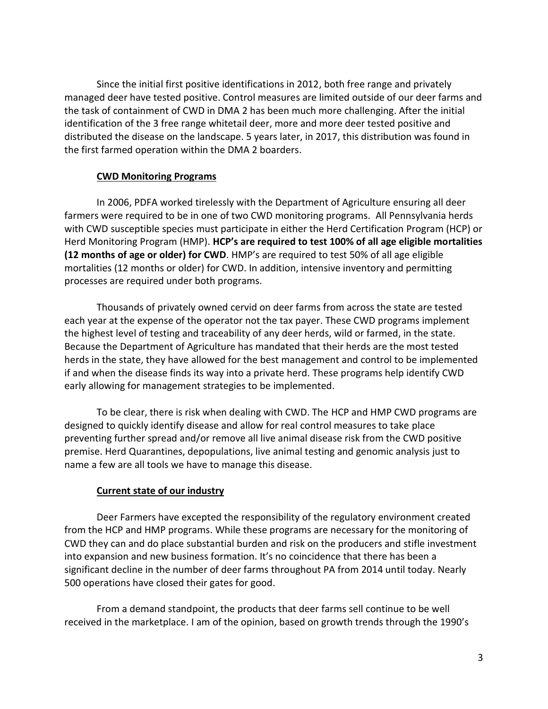Since the initial first positive identifications in 2012, both free range and privately managed deer have tested positive. Control measures are limited outside of our deer farms and the task of containment of CWD in DMA 2 has been much more challenging. After the initial identification of the 3 free range whitetail deer, more and more deer tested positive and distributed the disease on the landscape. 5 years later, in 2017, this distribution was found in the first farmed operation within the DMA 2 boarders.

#### **CWD Monitoring Programs**

In 2006, PDFA worked tirelessly with the Department of Agriculture ensuring all deer farmers were required to be in one of two CWD monitoring programs. All Pennsylvania herds with CWD susceptible species must participate in either the Herd Certification Program (HCP) or Herd Monitoring Program (HMP). **HCP's are required to test 100% of all age eligible mortalities (12 months of age or older) for CWD**. HMP's are required to test 50% of all age eligible mortalities (12 months or older) for CWD. In addition, intensive inventory and permitting processes are required under both programs.

Thousands of privately owned cervid on deer farms from across the state are tested each year at the expense of the operator not the tax payer. These CWD programs implement the highest level of testing and traceability of any deer herds, wild or farmed, in the state. Because the Department of Agriculture has mandated that their herds are the most tested herds in the state, they have allowed for the best management and control to be implemented if and when the disease finds its way into a private herd. These programs help identify CWD early allowing for management strategies to be implemented.

To be clear, there is risk when dealing with CWD. The HCP and HMP CWD programs are designed to quickly identify disease and allow for real control measures to take place preventing further spread and/or remove all live animal disease risk from the CWD positive premise. Herd Quarantines, depopulations, live animal testing and genomic analysis just to name a few are all tools we have to manage this disease.

## **Current state of our industry**

Deer Farmers have excepted the responsibility of the regulatory environment created from the HCP and HMP programs. While these programs are necessary for the monitoring of CWD they can and do place substantial burden and risk on the producers and stifle investment into expansion and new business formation. It's no coincidence that there has been a significant decline in the number of deer farms throughout PA from 2014 until today. Nearly 500 operations have closed their gates for good.

From a demand standpoint, the products that deer farms sell continue to be well received in the marketplace. I am of the opinion, based on growth trends through the 1990's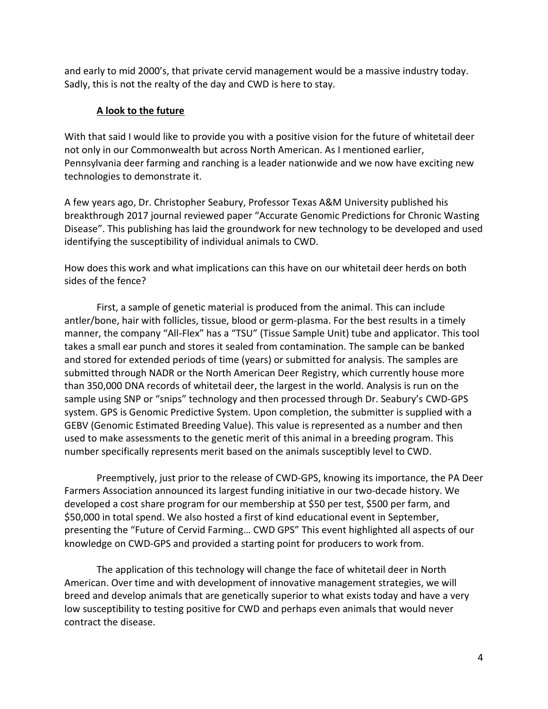and early to mid 2000's, that private cervid management would be a massive industry today. Sadly, this is not the realty of the day and CWD is here to stay.

# **A look to the future**

With that said I would like to provide you with a positive vision for the future of whitetail deer not only in our Commonwealth but across North American. As I mentioned earlier, Pennsylvania deer farming and ranching is a leader nationwide and we now have exciting new technologies to demonstrate it.

A few years ago, Dr. Christopher Seabury, Professor Texas A&M University published his breakthrough 2017 journal reviewed paper "Accurate Genomic Predictions for Chronic Wasting Disease". This publishing has laid the groundwork for new technology to be developed and used identifying the susceptibility of individual animals to CWD.

How does this work and what implications can this have on our whitetail deer herds on both sides of the fence?

First, a sample of genetic material is produced from the animal. This can include antler/bone, hair with follicles, tissue, blood or germ-plasma. For the best results in a timely manner, the company "All-Flex" has a "TSU" (Tissue Sample Unit) tube and applicator. This tool takes a small ear punch and stores it sealed from contamination. The sample can be banked and stored for extended periods of time (years) or submitted for analysis. The samples are submitted through NADR or the North American Deer Registry, which currently house more than 350,000 DNA records of whitetail deer, the largest in the world. Analysis is run on the sample using SNP or "snips" technology and then processed through Dr. Seabury's CWD-GPS system. GPS is Genomic Predictive System. Upon completion, the submitter is supplied with a GEBV (Genomic Estimated Breeding Value). This value is represented as a number and then used to make assessments to the genetic merit of this animal in a breeding program. This number specifically represents merit based on the animals susceptibly level to CWD.

Preemptively, just prior to the release of CWD-GPS, knowing its importance, the PA Deer Farmers Association announced its largest funding initiative in our two-decade history. We developed a cost share program for our membership at \$50 per test, \$500 per farm, and \$50,000 in total spend. We also hosted a first of kind educational event in September, presenting the "Future of Cervid Farming… CWD GPS" This event highlighted all aspects of our knowledge on CWD-GPS and provided a starting point for producers to work from.

The application of this technology will change the face of whitetail deer in North American. Over time and with development of innovative management strategies, we will breed and develop animals that are genetically superior to what exists today and have a very low susceptibility to testing positive for CWD and perhaps even animals that would never contract the disease.